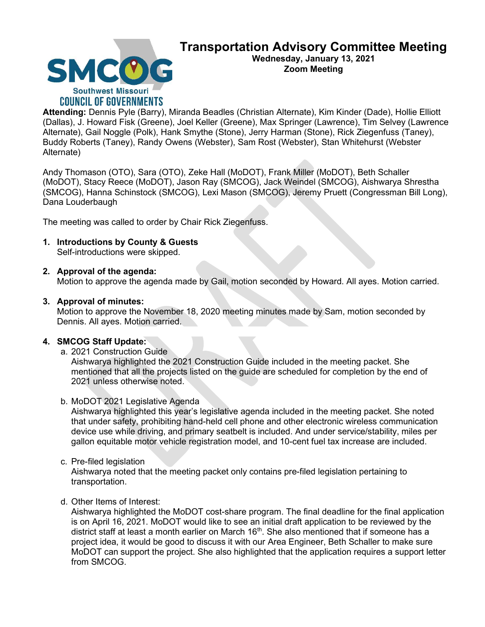

# Transportation Advisory Committee Meeting

Wednesday, January 13, 2021 Zoom Meeting

Attending: Dennis Pyle (Barry), Miranda Beadles (Christian Alternate), Kim Kinder (Dade), Hollie Elliott (Dallas), J. Howard Fisk (Greene), Joel Keller (Greene), Max Springer (Lawrence), Tim Selvey (Lawrence Alternate), Gail Noggle (Polk), Hank Smythe (Stone), Jerry Harman (Stone), Rick Ziegenfuss (Taney), Buddy Roberts (Taney), Randy Owens (Webster), Sam Rost (Webster), Stan Whitehurst (Webster Alternate)

Andy Thomason (OTO), Sara (OTO), Zeke Hall (MoDOT), Frank Miller (MoDOT), Beth Schaller (MoDOT), Stacy Reece (MoDOT), Jason Ray (SMCOG), Jack Weindel (SMCOG), Aishwarya Shrestha (SMCOG), Hanna Schinstock (SMCOG), Lexi Mason (SMCOG), Jeremy Pruett (Congressman Bill Long), Dana Louderbaugh

The meeting was called to order by Chair Rick Ziegenfuss.

# 1. Introductions by County & Guests

Self-introductions were skipped.

# 2. Approval of the agenda:

Motion to approve the agenda made by Gail, motion seconded by Howard. All ayes. Motion carried.

## 3. Approval of minutes:

Motion to approve the November 18, 2020 meeting minutes made by Sam, motion seconded by Dennis. All ayes. Motion carried.

# 4. SMCOG Staff Update:

a. 2021 Construction Guide

Aishwarya highlighted the 2021 Construction Guide included in the meeting packet. She mentioned that all the projects listed on the guide are scheduled for completion by the end of 2021 unless otherwise noted.

### b. MoDOT 2021 Legislative Agenda

Aishwarya highlighted this year's legislative agenda included in the meeting packet. She noted that under safety, prohibiting hand-held cell phone and other electronic wireless communication device use while driving, and primary seatbelt is included. And under service/stability, miles per gallon equitable motor vehicle registration model, and 10-cent fuel tax increase are included.

c. Pre-filed legislation

Aishwarya noted that the meeting packet only contains pre-filed legislation pertaining to transportation.

# d. Other Items of Interest:

Aishwarya highlighted the MoDOT cost-share program. The final deadline for the final application is on April 16, 2021. MoDOT would like to see an initial draft application to be reviewed by the district staff at least a month earlier on March 16<sup>th</sup>. She also mentioned that if someone has a project idea, it would be good to discuss it with our Area Engineer, Beth Schaller to make sure MoDOT can support the project. She also highlighted that the application requires a support letter from SMCOG.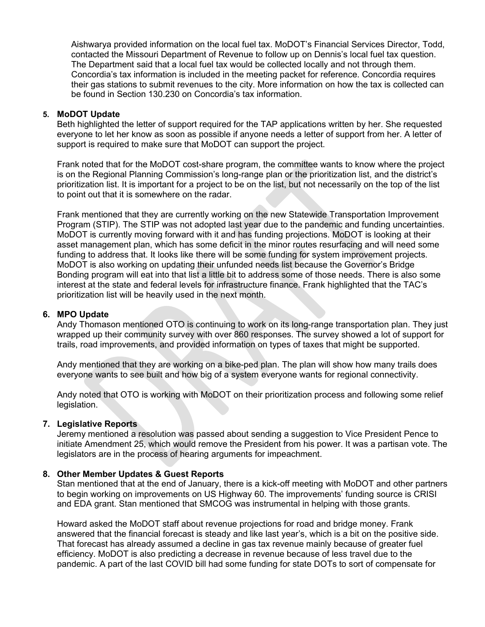Aishwarya provided information on the local fuel tax. MoDOT's Financial Services Director, Todd, contacted the Missouri Department of Revenue to follow up on Dennis's local fuel tax question. The Department said that a local fuel tax would be collected locally and not through them. Concordia's tax information is included in the meeting packet for reference. Concordia requires their gas stations to submit revenues to the city. More information on how the tax is collected can be found in Section 130.230 on Concordia's tax information.

#### 5. MoDOT Update

Beth highlighted the letter of support required for the TAP applications written by her. She requested everyone to let her know as soon as possible if anyone needs a letter of support from her. A letter of support is required to make sure that MoDOT can support the project.

Frank noted that for the MoDOT cost-share program, the committee wants to know where the project is on the Regional Planning Commission's long-range plan or the prioritization list, and the district's prioritization list. It is important for a project to be on the list, but not necessarily on the top of the list to point out that it is somewhere on the radar.

Frank mentioned that they are currently working on the new Statewide Transportation Improvement Program (STIP). The STIP was not adopted last year due to the pandemic and funding uncertainties. MoDOT is currently moving forward with it and has funding projections. MoDOT is looking at their asset management plan, which has some deficit in the minor routes resurfacing and will need some funding to address that. It looks like there will be some funding for system improvement projects. MoDOT is also working on updating their unfunded needs list because the Governor's Bridge Bonding program will eat into that list a little bit to address some of those needs. There is also some interest at the state and federal levels for infrastructure finance. Frank highlighted that the TAC's prioritization list will be heavily used in the next month.

#### 6. MPO Update

Andy Thomason mentioned OTO is continuing to work on its long-range transportation plan. They just wrapped up their community survey with over 860 responses. The survey showed a lot of support for trails, road improvements, and provided information on types of taxes that might be supported.

Andy mentioned that they are working on a bike-ped plan. The plan will show how many trails does everyone wants to see built and how big of a system everyone wants for regional connectivity.

Andy noted that OTO is working with MoDOT on their prioritization process and following some relief legislation.

#### 7. Legislative Reports

Jeremy mentioned a resolution was passed about sending a suggestion to Vice President Pence to initiate Amendment 25, which would remove the President from his power. It was a partisan vote. The legislators are in the process of hearing arguments for impeachment.

#### 8. Other Member Updates & Guest Reports

Stan mentioned that at the end of January, there is a kick-off meeting with MoDOT and other partners to begin working on improvements on US Highway 60. The improvements' funding source is CRISI and EDA grant. Stan mentioned that SMCOG was instrumental in helping with those grants.

Howard asked the MoDOT staff about revenue projections for road and bridge money. Frank answered that the financial forecast is steady and like last year's, which is a bit on the positive side. That forecast has already assumed a decline in gas tax revenue mainly because of greater fuel efficiency. MoDOT is also predicting a decrease in revenue because of less travel due to the pandemic. A part of the last COVID bill had some funding for state DOTs to sort of compensate for